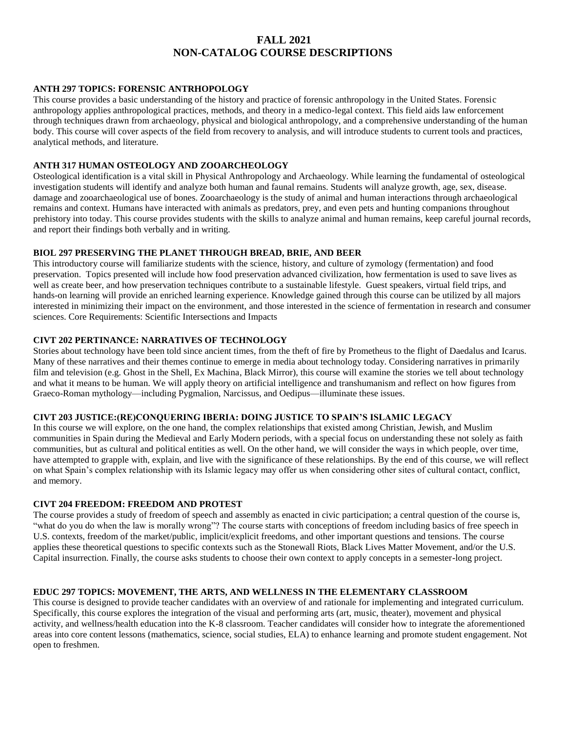# **FALL 2021 NON-CATALOG COURSE DESCRIPTIONS**

### **ANTH 297 TOPICS: FORENSIC ANTRHOPOLOGY**

This course provides a basic understanding of the history and practice of forensic anthropology in the United States. Forensic anthropology applies anthropological practices, methods, and theory in a medico-legal context. This field aids law enforcement through techniques drawn from archaeology, physical and biological anthropology, and a comprehensive understanding of the human body. This course will cover aspects of the field from recovery to analysis, and will introduce students to current tools and practices, analytical methods, and literature.

### **ANTH 317 HUMAN OSTEOLOGY AND ZOOARCHEOLOGY**

Osteological identification is a vital skill in Physical Anthropology and Archaeology. While learning the fundamental of osteological investigation students will identify and analyze both human and faunal remains. Students will analyze growth, age, sex, disease. damage and zooarchaeological use of bones. Zooarchaeology is the study of animal and human interactions through archaeological remains and context. Humans have interacted with animals as predators, prey, and even pets and hunting companions throughout prehistory into today. This course provides students with the skills to analyze animal and human remains, keep careful journal records, and report their findings both verbally and in writing.

### **BIOL 297 PRESERVING THE PLANET THROUGH BREAD, BRIE, AND BEER**

This introductory course will familiarize students with the science, history, and culture of zymology (fermentation) and food preservation. Topics presented will include how food preservation advanced civilization, how fermentation is used to save lives as well as create beer, and how preservation techniques contribute to a sustainable lifestyle. Guest speakers, virtual field trips, and hands-on learning will provide an enriched learning experience. Knowledge gained through this course can be utilized by all majors interested in minimizing their impact on the environment, and those interested in the science of fermentation in research and consumer sciences. Core Requirements: Scientific Intersections and Impacts

### **CIVT 202 PERTINANCE: NARRATIVES OF TECHNOLOGY**

Stories about technology have been told since ancient times, from the theft of fire by Prometheus to the flight of Daedalus and Icarus. Many of these narratives and their themes continue to emerge in media about technology today. Considering narratives in primarily film and television (e.g. Ghost in the Shell, Ex Machina, Black Mirror), this course will examine the stories we tell about technology and what it means to be human. We will apply theory on artificial intelligence and transhumanism and reflect on how figures from Graeco-Roman mythology—including Pygmalion, Narcissus, and Oedipus—illuminate these issues.

### **CIVT 203 JUSTICE:(RE)CONQUERING IBERIA: DOING JUSTICE TO SPAIN'S ISLAMIC LEGACY**

In this course we will explore, on the one hand, the complex relationships that existed among Christian, Jewish, and Muslim communities in Spain during the Medieval and Early Modern periods, with a special focus on understanding these not solely as faith communities, but as cultural and political entities as well. On the other hand, we will consider the ways in which people, over time, have attempted to grapple with, explain, and live with the significance of these relationships. By the end of this course, we will reflect on what Spain's complex relationship with its Islamic legacy may offer us when considering other sites of cultural contact, conflict, and memory.

#### **CIVT 204 FREEDOM: FREEDOM AND PROTEST**

The course provides a study of freedom of speech and assembly as enacted in civic participation; a central question of the course is, "what do you do when the law is morally wrong"? The course starts with conceptions of freedom including basics of free speech in U.S. contexts, freedom of the market/public, implicit/explicit freedoms, and other important questions and tensions. The course applies these theoretical questions to specific contexts such as the Stonewall Riots, Black Lives Matter Movement, and/or the U.S. Capital insurrection. Finally, the course asks students to choose their own context to apply concepts in a semester-long project.

### **EDUC 297 TOPICS: MOVEMENT, THE ARTS, AND WELLNESS IN THE ELEMENTARY CLASSROOM**

This course is designed to provide teacher candidates with an overview of and rationale for implementing and integrated curriculum. Specifically, this course explores the integration of the visual and performing arts (art, music, theater), movement and physical activity, and wellness/health education into the K-8 classroom. Teacher candidates will consider how to integrate the aforementioned areas into core content lessons (mathematics, science, social studies, ELA) to enhance learning and promote student engagement. Not open to freshmen.